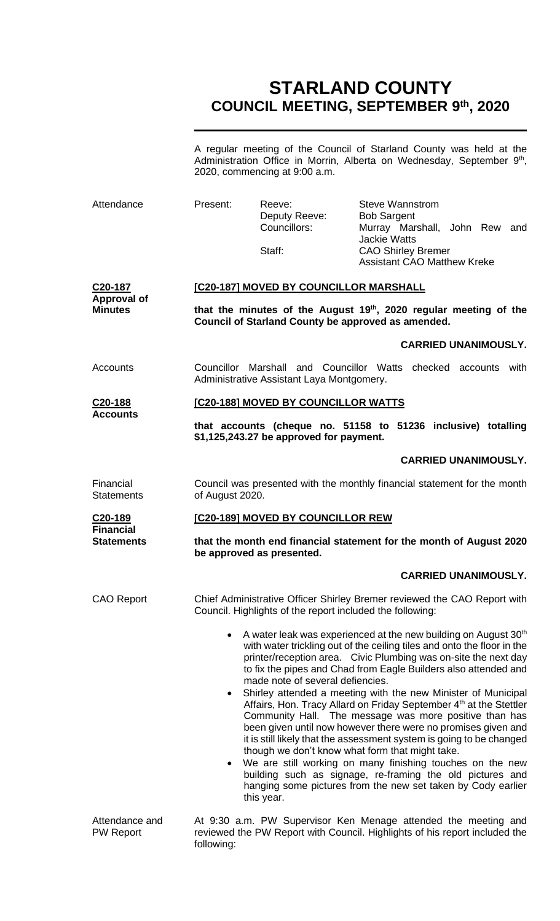# **STARLAND COUNTY COUNCIL MEETING, SEPTEMBER 9 th, 2020**

A regular meeting of the Council of Starland County was held at the Administration Office in Morrin, Alberta on Wednesday, September 9<sup>th</sup>, 2020, commencing at 9:00 a.m.

| Attendance                                      | Present:                                                                                                                                                                                                                                                                                                                                                                                                                                                                                                                                                                                                                                                                                                                                                                                                                                                                                                                                                                         | Reeve:<br>Deputy Reeve:<br>Councillors:<br>Staff:                                                                                                                | <b>Steve Wannstrom</b><br><b>Bob Sargent</b><br>Murray Marshall, John Rew and<br><b>Jackie Watts</b><br><b>CAO Shirley Bremer</b><br><b>Assistant CAO Matthew Kreke</b> |  |  |  |
|-------------------------------------------------|----------------------------------------------------------------------------------------------------------------------------------------------------------------------------------------------------------------------------------------------------------------------------------------------------------------------------------------------------------------------------------------------------------------------------------------------------------------------------------------------------------------------------------------------------------------------------------------------------------------------------------------------------------------------------------------------------------------------------------------------------------------------------------------------------------------------------------------------------------------------------------------------------------------------------------------------------------------------------------|------------------------------------------------------------------------------------------------------------------------------------------------------------------|-------------------------------------------------------------------------------------------------------------------------------------------------------------------------|--|--|--|
| C20-187<br><b>Approval of</b><br><b>Minutes</b> |                                                                                                                                                                                                                                                                                                                                                                                                                                                                                                                                                                                                                                                                                                                                                                                                                                                                                                                                                                                  | [C20-187] MOVED BY COUNCILLOR MARSHALL<br>that the minutes of the August 19th, 2020 regular meeting of the<br>Council of Starland County be approved as amended. |                                                                                                                                                                         |  |  |  |
|                                                 |                                                                                                                                                                                                                                                                                                                                                                                                                                                                                                                                                                                                                                                                                                                                                                                                                                                                                                                                                                                  |                                                                                                                                                                  | <b>CARRIED UNANIMOUSLY.</b>                                                                                                                                             |  |  |  |
| Accounts                                        | Councillor Marshall and Councillor Watts checked accounts with<br>Administrative Assistant Laya Montgomery.                                                                                                                                                                                                                                                                                                                                                                                                                                                                                                                                                                                                                                                                                                                                                                                                                                                                      |                                                                                                                                                                  |                                                                                                                                                                         |  |  |  |
| C <sub>20</sub> -188<br><b>Accounts</b>         | [C20-188] MOVED BY COUNCILLOR WATTS                                                                                                                                                                                                                                                                                                                                                                                                                                                                                                                                                                                                                                                                                                                                                                                                                                                                                                                                              |                                                                                                                                                                  |                                                                                                                                                                         |  |  |  |
|                                                 | that accounts (cheque no. 51158 to 51236 inclusive) totalling<br>\$1,125,243.27 be approved for payment.                                                                                                                                                                                                                                                                                                                                                                                                                                                                                                                                                                                                                                                                                                                                                                                                                                                                         |                                                                                                                                                                  |                                                                                                                                                                         |  |  |  |
|                                                 |                                                                                                                                                                                                                                                                                                                                                                                                                                                                                                                                                                                                                                                                                                                                                                                                                                                                                                                                                                                  |                                                                                                                                                                  | <b>CARRIED UNANIMOUSLY.</b>                                                                                                                                             |  |  |  |
| Financial<br><b>Statements</b>                  | Council was presented with the monthly financial statement for the month<br>of August 2020.                                                                                                                                                                                                                                                                                                                                                                                                                                                                                                                                                                                                                                                                                                                                                                                                                                                                                      |                                                                                                                                                                  |                                                                                                                                                                         |  |  |  |
| C <sub>20</sub> -189<br><b>Financial</b>        | [C20-189] MOVED BY COUNCILLOR REW                                                                                                                                                                                                                                                                                                                                                                                                                                                                                                                                                                                                                                                                                                                                                                                                                                                                                                                                                |                                                                                                                                                                  |                                                                                                                                                                         |  |  |  |
| <b>Statements</b>                               | that the month end financial statement for the month of August 2020<br>be approved as presented.                                                                                                                                                                                                                                                                                                                                                                                                                                                                                                                                                                                                                                                                                                                                                                                                                                                                                 |                                                                                                                                                                  |                                                                                                                                                                         |  |  |  |
|                                                 |                                                                                                                                                                                                                                                                                                                                                                                                                                                                                                                                                                                                                                                                                                                                                                                                                                                                                                                                                                                  |                                                                                                                                                                  | <b>CARRIED UNANIMOUSLY.</b>                                                                                                                                             |  |  |  |
| <b>CAO Report</b>                               | Chief Administrative Officer Shirley Bremer reviewed the CAO Report with<br>Council. Highlights of the report included the following:                                                                                                                                                                                                                                                                                                                                                                                                                                                                                                                                                                                                                                                                                                                                                                                                                                            |                                                                                                                                                                  |                                                                                                                                                                         |  |  |  |
|                                                 | A water leak was experienced at the new building on August 30 <sup>th</sup><br>$\bullet$<br>with water trickling out of the ceiling tiles and onto the floor in the<br>printer/reception area. Civic Plumbing was on-site the next day<br>to fix the pipes and Chad from Eagle Builders also attended and<br>made note of several defiencies.<br>Shirley attended a meeting with the new Minister of Municipal<br>٠<br>Affairs, Hon. Tracy Allard on Friday September 4 <sup>th</sup> at the Stettler<br>Community Hall. The message was more positive than has<br>been given until now however there were no promises given and<br>it is still likely that the assessment system is going to be changed<br>though we don't know what form that might take.<br>We are still working on many finishing touches on the new<br>$\bullet$<br>building such as signage, re-framing the old pictures and<br>hanging some pictures from the new set taken by Cody earlier<br>this year. |                                                                                                                                                                  |                                                                                                                                                                         |  |  |  |
| Attendance and<br><b>PW Report</b>              | At 9:30 a.m. PW Supervisor Ken Menage attended the meeting and<br>reviewed the PW Report with Council. Highlights of his report included the<br>following:                                                                                                                                                                                                                                                                                                                                                                                                                                                                                                                                                                                                                                                                                                                                                                                                                       |                                                                                                                                                                  |                                                                                                                                                                         |  |  |  |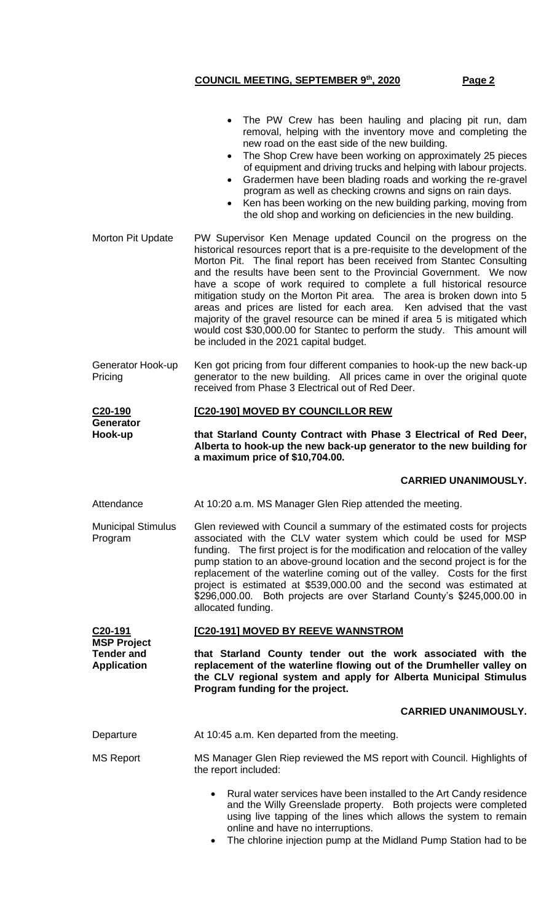- The PW Crew has been hauling and placing pit run, dam removal, helping with the inventory move and completing the new road on the east side of the new building. • The Shop Crew have been working on approximately 25 pieces of equipment and driving trucks and helping with labour projects. • Gradermen have been blading roads and working the re-gravel program as well as checking crowns and signs on rain days. Ken has been working on the new building parking, moving from the old shop and working on deficiencies in the new building. Morton Pit Update PW Supervisor Ken Menage updated Council on the progress on the historical resources report that is a pre-requisite to the development of the Morton Pit. The final report has been received from Stantec Consulting and the results have been sent to the Provincial Government. We now have a scope of work required to complete a full historical resource mitigation study on the Morton Pit area. The area is broken down into 5 areas and prices are listed for each area. Ken advised that the vast majority of the gravel resource can be mined if area 5 is mitigated which would cost \$30,000.00 for Stantec to perform the study. This amount will be included in the 2021 capital budget. Generator Hook-up Pricing Ken got pricing from four different companies to hook-up the new back-up generator to the new building. All prices came in over the original quote received from Phase 3 Electrical out of Red Deer. **C20-190 Generator Hook-up [C20-190] MOVED BY COUNCILLOR REW that Starland County Contract with Phase 3 Electrical of Red Deer, Alberta to hook-up the new back-up generator to the new building for a maximum price of \$10,704.00. CARRIED UNANIMOUSLY.** Attendance At 10:20 a.m. MS Manager Glen Riep attended the meeting. Municipal Stimulus Program Glen reviewed with Council a summary of the estimated costs for projects associated with the CLV water system which could be used for MSP funding. The first project is for the modification and relocation of the valley pump station to an above-ground location and the second project is for the replacement of the waterline coming out of the valley. Costs for the first project is estimated at \$539,000.00 and the second was estimated at \$296,000.00. Both projects are over Starland County's \$245,000.00 in allocated funding. **C20-191 MSP Project Tender and Application [C20-191] MOVED BY REEVE WANNSTROM that Starland County tender out the work associated with the replacement of the waterline flowing out of the Drumheller valley on the CLV regional system and apply for Alberta Municipal Stimulus Program funding for the project. CARRIED UNANIMOUSLY.** Departure At 10:45 a.m. Ken departed from the meeting. MS Report MS Manager Glen Riep reviewed the MS report with Council. Highlights of the report included: • Rural water services have been installed to the Art Candy residence and the Willy Greenslade property. Both projects were completed using live tapping of the lines which allows the system to remain online and have no interruptions.
	- The chlorine injection pump at the Midland Pump Station had to be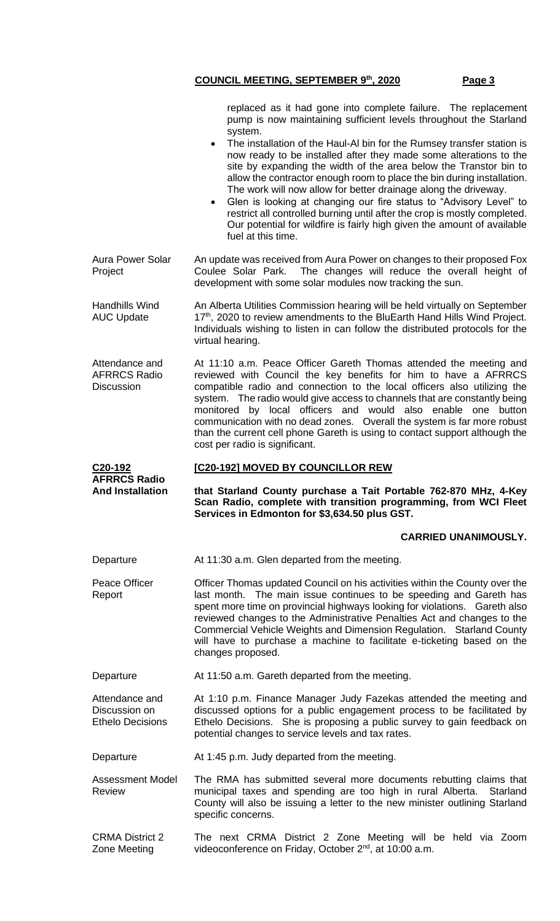replaced as it had gone into complete failure. The replacement pump is now maintaining sufficient levels throughout the Starland system.

- The installation of the Haul-Al bin for the Rumsey transfer station is now ready to be installed after they made some alterations to the site by expanding the width of the area below the Transtor bin to allow the contractor enough room to place the bin during installation. The work will now allow for better drainage along the driveway.
- Glen is looking at changing our fire status to "Advisory Level" to restrict all controlled burning until after the crop is mostly completed. Our potential for wildfire is fairly high given the amount of available fuel at this time.

Aura Power Solar Project An update was received from Aura Power on changes to their proposed Fox Coulee Solar Park. The changes will reduce the overall height of development with some solar modules now tracking the sun.

Handhills Wind AUC Update An Alberta Utilities Commission hearing will be held virtually on September 17<sup>th</sup>, 2020 to review amendments to the BluEarth Hand Hills Wind Project. Individuals wishing to listen in can follow the distributed protocols for the virtual hearing.

Attendance and AFRRCS Radio **Discussion** At 11:10 a.m. Peace Officer Gareth Thomas attended the meeting and reviewed with Council the key benefits for him to have a AFRRCS compatible radio and connection to the local officers also utilizing the system. The radio would give access to channels that are constantly being monitored by local officers and would also enable one button communication with no dead zones. Overall the system is far more robust than the current cell phone Gareth is using to contact support although the cost per radio is significant.

#### **AFRRCS Radio [C20-192] MOVED BY COUNCILLOR REW**

**that Starland County purchase a Tait Portable 762-870 MHz, 4-Key Scan Radio, complete with transition programming, from WCI Fleet Services in Edmonton for \$3,634.50 plus GST.**

## **CARRIED UNANIMOUSLY.**

Departure **At 11:30 a.m. Glen departed from the meeting.** 

**C20-192**

**And Installation**

Peace Officer Report Officer Thomas updated Council on his activities within the County over the last month. The main issue continues to be speeding and Gareth has spent more time on provincial highways looking for violations. Gareth also reviewed changes to the Administrative Penalties Act and changes to the Commercial Vehicle Weights and Dimension Regulation. Starland County will have to purchase a machine to facilitate e-ticketing based on the changes proposed.

Departure **At 11:50 a.m. Gareth departed from the meeting.** 

Attendance and Discussion on Ethelo Decisions At 1:10 p.m. Finance Manager Judy Fazekas attended the meeting and discussed options for a public engagement process to be facilitated by Ethelo Decisions. She is proposing a public survey to gain feedback on potential changes to service levels and tax rates.

Departure **At 1:45 p.m. Judy departed from the meeting.** 

Assessment Model Review The RMA has submitted several more documents rebutting claims that municipal taxes and spending are too high in rural Alberta. Starland County will also be issuing a letter to the new minister outlining Starland specific concerns.

CRMA District 2 Zone Meeting The next CRMA District 2 Zone Meeting will be held via Zoom videoconference on Friday, October 2<sup>nd</sup>, at 10:00 a.m.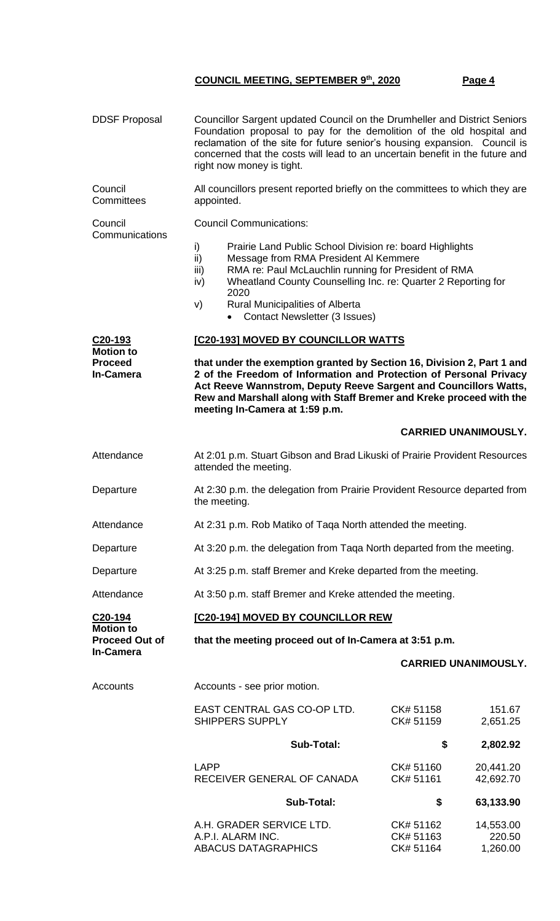# DDSF Proposal Councillor Sargent updated Council on the Drumheller and District Seniors Foundation proposal to pay for the demolition of the old hospital and reclamation of the site for future senior's housing expansion. Council is concerned that the costs will lead to an uncertain benefit in the future and right now money is tight. Council **Committees** All councillors present reported briefly on the committees to which they are appointed. Council **Communications** Council Communications: i) Prairie Land Public School Division re: board Highlights ii) Message from RMA President Al Kemmere iii) RMA re: Paul McLauchlin running for President of RMA iv) Wheatland County Counselling Inc. re: Quarter 2 Reporting for 2020 v) Rural Municipalities of Alberta • Contact Newsletter (3 Issues) **C20-193 Motion to Proceed In-Camera [C20-193] MOVED BY COUNCILLOR WATTS that under the exemption granted by Section 16, Division 2, Part 1 and 2 of the Freedom of Information and Protection of Personal Privacy Act Reeve Wannstrom, Deputy Reeve Sargent and Councillors Watts, Rew and Marshall along with Staff Bremer and Kreke proceed with the meeting In-Camera at 1:59 p.m. CARRIED UNANIMOUSLY.** Attendance At 2:01 p.m. Stuart Gibson and Brad Likuski of Prairie Provident Resources attended the meeting. Departure At 2:30 p.m. the delegation from Prairie Provident Resource departed from the meeting. Attendance At 2:31 p.m. Rob Matiko of Taqa North attended the meeting. Departure At 3:20 p.m. the delegation from Taqa North departed from the meeting. Departure At 3:25 p.m. staff Bremer and Kreke departed from the meeting. Attendance At 3:50 p.m. staff Bremer and Kreke attended the meeting. **C20-194 Motion to Proceed Out of In-Camera [C20-194] MOVED BY COUNCILLOR REW that the meeting proceed out of In-Camera at 3:51 p.m. CARRIED UNANIMOUSLY.** Accounts **Accounts** - see prior motion. EAST CENTRAL GAS CO-OP LTD. CK# 51158 151.67 SHIPPERS SUPPLY CK# 51159 2,651.25  **Sub-Total: \$ 2,802.92** LAPP CK# 51160 20,441.20 RECEIVER GENERAL OF CANADA CK# 51161 42,692.70  **Sub-Total: \$ 63,133.90** A.H. GRADER SERVICE LTD. CK# 51162 14,553.00

A.P.I. ALARM INC. CK# 51163 220.50

**ABACUS DATAGRAPHICS**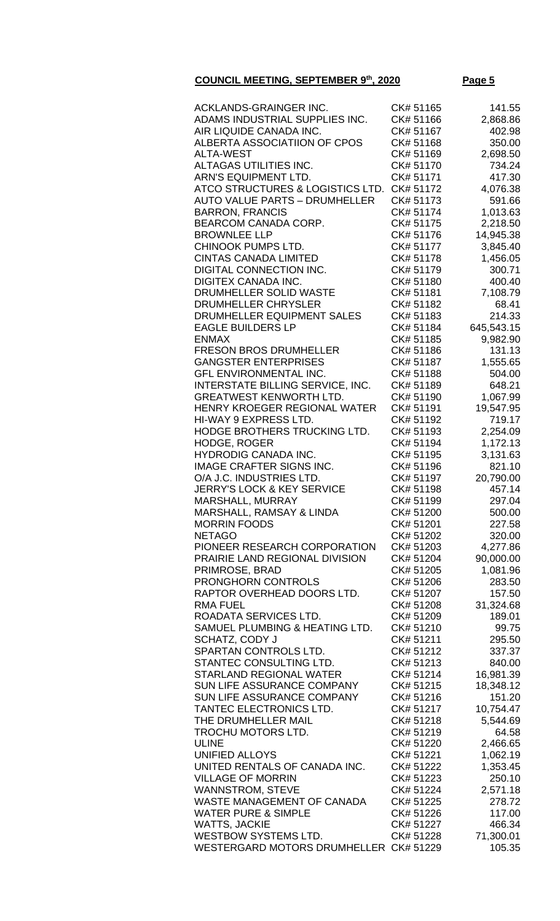# **COUNCIL MEETING, SEPTEMBER 9**

**the Page 5** 

| ACKLANDS-GRAINGER INC.                        | CK# 51165 | 141.55     |
|-----------------------------------------------|-----------|------------|
|                                               |           |            |
| ADAMS INDUSTRIAL SUPPLIES INC.                | CK# 51166 | 2,868.86   |
| AIR LIQUIDE CANADA INC.                       | CK# 51167 | 402.98     |
| ALBERTA ASSOCIATIION OF CPOS                  | CK# 51168 | 350.00     |
|                                               |           |            |
| <b>ALTA-WEST</b>                              | CK# 51169 | 2,698.50   |
| ALTAGAS UTILITIES INC.                        | CK# 51170 | 734.24     |
|                                               |           |            |
| <b>ARN'S EQUIPMENT LTD.</b>                   | CK# 51171 | 417.30     |
| ATCO STRUCTURES & LOGISTICS LTD.              | CK# 51172 | 4,076.38   |
|                                               |           |            |
| <b>AUTO VALUE PARTS - DRUMHELLER</b>          | CK# 51173 | 591.66     |
| <b>BARRON, FRANCIS</b>                        | CK# 51174 | 1,013.63   |
|                                               |           |            |
| <b>BEARCOM CANADA CORP.</b>                   | CK# 51175 | 2,218.50   |
| <b>BROWNLEE LLP</b>                           | CK# 51176 | 14,945.38  |
|                                               |           |            |
| CHINOOK PUMPS LTD.                            | CK# 51177 | 3,845.40   |
| <b>CINTAS CANADA LIMITED</b>                  | CK# 51178 | 1,456.05   |
|                                               |           |            |
| <b>DIGITAL CONNECTION INC.</b>                | CK# 51179 | 300.71     |
| <b>DIGITEX CANADA INC.</b>                    | CK# 51180 | 400.40     |
|                                               |           |            |
| DRUMHELLER SOLID WASTE                        | CK# 51181 | 7,108.79   |
| DRUMHELLER CHRYSLER                           | CK# 51182 | 68.41      |
|                                               |           |            |
| DRUMHELLER EQUIPMENT SALES                    | CK# 51183 | 214.33     |
| <b>EAGLE BUILDERS LP</b>                      | CK# 51184 | 645,543.15 |
| <b>ENMAX</b>                                  | CK# 51185 | 9,982.90   |
|                                               |           |            |
| <b>FRESON BROS DRUMHELLER</b>                 | CK# 51186 | 131.13     |
| <b>GANGSTER ENTERPRISES</b>                   | CK# 51187 | 1,555.65   |
|                                               |           |            |
| <b>GFL ENVIRONMENTAL INC.</b>                 | CK# 51188 | 504.00     |
| INTERSTATE BILLING SERVICE, INC.              | CK# 51189 | 648.21     |
|                                               |           |            |
| <b>GREATWEST KENWORTH LTD.</b>                | CK# 51190 | 1,067.99   |
| <b>HENRY KROEGER REGIONAL WATER</b>           | CK# 51191 | 19,547.95  |
|                                               |           |            |
| HI-WAY 9 EXPRESS LTD.                         | CK# 51192 | 719.17     |
| HODGE BROTHERS TRUCKING LTD.                  | CK# 51193 | 2,254.09   |
|                                               |           |            |
| HODGE, ROGER                                  | CK# 51194 | 1,172.13   |
| <b>HYDRODIG CANADA INC.</b>                   | CK# 51195 | 3,131.63   |
|                                               |           |            |
| <b>IMAGE CRAFTER SIGNS INC.</b>               | CK# 51196 | 821.10     |
| O/A J.C. INDUSTRIES LTD.                      | CK# 51197 | 20,790.00  |
| <b>JERRY'S LOCK &amp; KEY SERVICE</b>         | CK# 51198 | 457.14     |
|                                               |           |            |
| <b>MARSHALL, MURRAY</b>                       | CK# 51199 | 297.04     |
| MARSHALL, RAMSAY & LINDA                      | CK# 51200 | 500.00     |
|                                               |           |            |
| <b>MORRIN FOODS</b>                           | CK# 51201 | 227.58     |
| <b>NETAGO</b>                                 | CK# 51202 | 320.00     |
|                                               |           |            |
| PIONEER RESEARCH CORPORATION                  | CK# 51203 | 4,277.86   |
| PRAIRIE LAND REGIONAL DIVISION                | CK# 51204 | 90,000.00  |
|                                               |           |            |
| PRIMROSE, BRAD                                | CK# 51205 | 1,081.96   |
| PRONGHORN CONTROLS                            | CK# 51206 | 283.50     |
| RAPTOR OVERHEAD DOORS LTD.                    | CK# 51207 | 157.50     |
|                                               |           |            |
| <b>RMA FUEL</b>                               | CK# 51208 | 31,324.68  |
| ROADATA SERVICES LTD.                         | CK# 51209 | 189.01     |
|                                               |           |            |
| SAMUEL PLUMBING & HEATING LTD.                | CK# 51210 | 99.75      |
| SCHATZ, CODY J                                | CK# 51211 | 295.50     |
| SPARTAN CONTROLS LTD.                         | CK# 51212 |            |
|                                               |           | 337.37     |
| STANTEC CONSULTING LTD.                       | CK# 51213 | 840.00     |
| <b>STARLAND REGIONAL WATER</b>                | CK# 51214 | 16,981.39  |
|                                               |           |            |
| SUN LIFE ASSURANCE COMPANY                    | CK# 51215 | 18,348.12  |
| SUN LIFE ASSURANCE COMPANY                    | CK# 51216 | 151.20     |
|                                               |           |            |
| TANTEC ELECTRONICS LTD.                       | CK# 51217 | 10,754.47  |
| THE DRUMHELLER MAIL                           | CK# 51218 | 5,544.69   |
|                                               |           |            |
| TROCHU MOTORS LTD.                            | CK# 51219 | 64.58      |
| <b>ULINE</b>                                  | CK# 51220 | 2,466.65   |
| <b>UNIFIED ALLOYS</b>                         | CK# 51221 | 1,062.19   |
|                                               |           |            |
| UNITED RENTALS OF CANADA INC.                 | CK# 51222 | 1,353.45   |
| <b>VILLAGE OF MORRIN</b>                      | CK# 51223 | 250.10     |
|                                               |           |            |
| <b>WANNSTROM, STEVE</b>                       | CK# 51224 | 2,571.18   |
| WASTE MANAGEMENT OF CANADA                    | CK# 51225 | 278.72     |
|                                               |           |            |
| <b>WATER PURE &amp; SIMPLE</b>                | CK# 51226 | 117.00     |
| <b>WATTS, JACKIE</b>                          | CK# 51227 | 466.34     |
|                                               |           |            |
| <b>WESTBOW SYSTEMS LTD.</b>                   | CK# 51228 | 71,300.01  |
| <b>WESTERGARD MOTORS DRUMHELLER CK# 51229</b> |           | 105.35     |
|                                               |           |            |